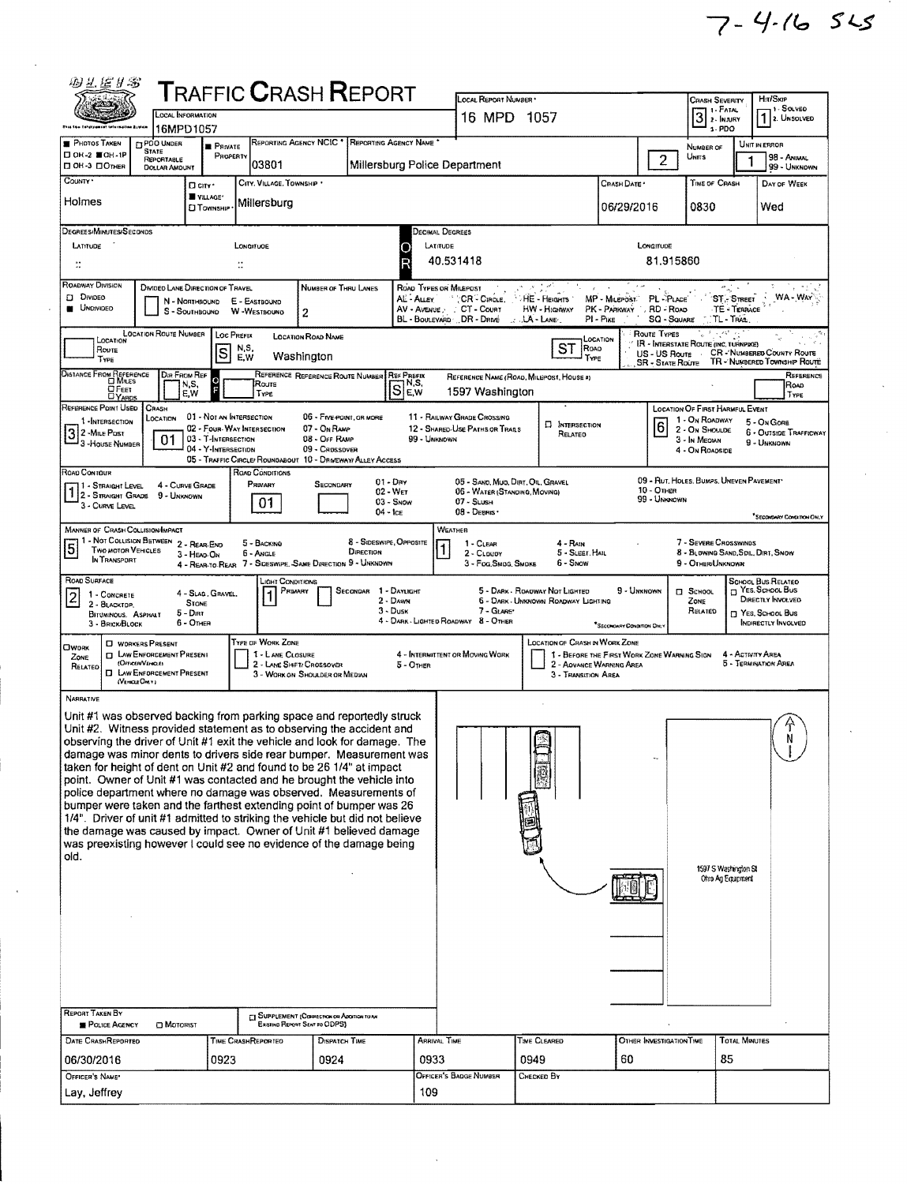| 羽兰尼卜名                                                                                                                                               |                                                                             |                                            | ${\sf T}$ RAFFIC ${\sf C}$ RASH ${\sf R}$ EPORT                               |                                                 |                                      |                                          |                                                                    |                                          |                                             |                            |                                                             |                                  |                                                |
|-----------------------------------------------------------------------------------------------------------------------------------------------------|-----------------------------------------------------------------------------|--------------------------------------------|-------------------------------------------------------------------------------|-------------------------------------------------|--------------------------------------|------------------------------------------|--------------------------------------------------------------------|------------------------------------------|---------------------------------------------|----------------------------|-------------------------------------------------------------|----------------------------------|------------------------------------------------|
| ZS 1                                                                                                                                                | <b>LOCAL INFORMATION</b>                                                    |                                            |                                                                               |                                                 |                                      |                                          | <b>LOCAL REPORT NUMBER</b><br>16 MPD 1057                          |                                          |                                             |                            | <b>CRASH SEVERITY</b><br>3 <sup>1. </sup> FTATAL            |                                  | Hn/SxiP<br>, 1 - Sα ν∈ο                        |
|                                                                                                                                                     | 16MPD1057                                                                   |                                            |                                                                               |                                                 |                                      |                                          |                                                                    |                                          |                                             |                            | $1 - PDO$                                                   |                                  | 7 2. UNSOLVED                                  |
| <b>PHOTOS TAKEN</b><br>□ ОН-2 ■ОН-1Р                                                                                                                | <b>ET POO UNDER</b><br><b>STATE</b>                                         | <b>B</b> PRIVATE<br>PROPERTY               |                                                                               | REPORTING AGENCY NCIC * REPORTING AGENCY NAME * |                                      |                                          |                                                                    |                                          |                                             |                            | NUMBER OF<br><b>UNITS</b>                                   |                                  | UNIT IN ERROR<br>98 - ANIMAL                   |
| □ ОН-3 □ Отнев                                                                                                                                      | REPORTABLE<br><b>DOLLAR AMOUNT</b>                                          |                                            | 03801                                                                         |                                                 |                                      |                                          | Millersburg Police Department                                      |                                          |                                             | $\overline{c}$             |                                                             |                                  | 99 - UNKNOWN                                   |
| COUNTY .                                                                                                                                            | □ city *                                                                    | VILLAGE*                                   | CITY, VILLAGE, TOWNSHIP *                                                     |                                                 |                                      |                                          |                                                                    |                                          | Crash Date *                                |                            | TIME OF CRASH                                               |                                  | DAY OF WEEK                                    |
| Holmes                                                                                                                                              |                                                                             | <b>TOWNSHIP</b>                            | Millersburg                                                                   |                                                 |                                      |                                          |                                                                    |                                          | 06/29/2016                                  |                            | 0830                                                        |                                  | Wed                                            |
| DEGREES/MINUTES/SECONDS                                                                                                                             |                                                                             |                                            |                                                                               |                                                 |                                      |                                          | Decimal Degrees                                                    |                                          |                                             |                            |                                                             |                                  |                                                |
| LATITUDE                                                                                                                                            |                                                                             |                                            | LONGITUOE                                                                     |                                                 |                                      |                                          | LATITUDE                                                           |                                          |                                             | LONGITUDE                  |                                                             |                                  |                                                |
| ∷                                                                                                                                                   |                                                                             |                                            | ÷.                                                                            |                                                 |                                      | R                                        | 40.531418                                                          |                                          |                                             | 81.915860                  |                                                             |                                  |                                                |
| <b>ROADWAY DIVISION</b><br><b>DIVIDEO</b><br><b>UNOMDED</b>                                                                                         | <b>DIVIDED LANE DIRECTION OF TRAVEL</b><br>N - Northbound<br>S - SOUTHBOUND |                                            | E - EASTBOUND<br>W -WESTBOUND                                                 | NUMBER OF THRU LANES<br>2                       |                                      | AL - Auevi<br>AV - Avenue :              | ROAD TYPES ON MILEPOST<br>CR - CIRCLE.<br>CT - COURT               | <b>HE-HEIGHTS</b><br>HW - Highway        | MP - MILEPOST<br>PK - PARKWAY , RD - ROAD   | PL-PLACE                   | n S                                                         | <b>ST-STREET</b><br>TE - TERRACE | نے کہ م<br><b>WA-WAY</b>                       |
|                                                                                                                                                     | <b>LOCATION ROUTE NUMBER</b>                                                | LOC PREFIX                                 |                                                                               | <b>LOCATION ROAD NAME</b>                       |                                      |                                          | BL - BOULEVARD DR - DRIVE                                          | $\therefore$ LA - LANE.                  | $PI - P_{IKE}$                              | SQ - SQUARE<br>Route Types | <b>TL-TRAL</b><br>المتعرب                                   |                                  |                                                |
| LOCATION<br>ROUTE                                                                                                                                   |                                                                             | S                                          | N,S.<br>E, W                                                                  | Washington                                      |                                      |                                          |                                                                    | ST                                       | LOCATION<br>Road                            | US - US Route              | IR - INTERSTATE ROUTE (INC. TURNPIKE)                       |                                  | <b>CR-NUMBERED COUNTY ROUTE</b>                |
| TYPE<br>DISTANCE FROM REFERENCE                                                                                                                     | DIR FROM REF                                                                |                                            |                                                                               | REFERENCE REFERENCE ROUTE NUMBER                |                                      | <b>REF PREFIX</b>                        |                                                                    |                                          | TYPE                                        | <b>SR - STATE ROUTE</b>    |                                                             |                                  | TR - NUMBERED TOWNSHIP ROUTE<br>REFERENCE      |
| OFEET<br><b>DYARDS</b>                                                                                                                              | N,S,<br>E,W                                                                 |                                            | Route<br><b>TYPE</b>                                                          |                                                 |                                      | $\overline{S}$ <sup>N<sub>S</sub>S</sup> | 1597 Washington                                                    | REFERENCE NAME (ROAD, MILEPOST, HOUSE #) |                                             |                            |                                                             |                                  | Road<br>TYPE                                   |
| REFERENCE POINT USED                                                                                                                                | CRASH                                                                       |                                            | 01 - NOT AN INTERSECTION                                                      | 06 - Five POINT, OR MORE                        |                                      |                                          | 11 - RAILWAY GRADE CROSSING                                        |                                          |                                             |                            | <b>LOCATION OF FIRST HARMFUL EVENT</b>                      |                                  |                                                |
| 1-INTERSECTION<br>2 - MILE POST                                                                                                                     | LOCATION                                                                    |                                            | 02 - Four-Way Intersection                                                    | 07 - On RAMP                                    |                                      |                                          | 12 - SHARED-USE PATHS OR TRAILS                                    | <b>D</b> INTERSECTION<br>RELATED         |                                             | 16                         | 1 - On ROADWAY<br>2 - On Shoulde                            |                                  | 5 - On Gone<br><b>6 - OUTSIDE TRAFFICWAY</b>   |
| - 3 - House Number                                                                                                                                  | 01                                                                          | 03 - T-INTERSECTION<br>04 - Y-INTERSECTION |                                                                               | 08 - Off RAMP<br>09 - CROSSOVER                 |                                      | 99 - UNKNOWN                             |                                                                    |                                          |                                             |                            | 3 - In Median<br>4 - On ROADSIDE                            |                                  | 9 - UNKNOWN                                    |
| Road Contour                                                                                                                                        |                                                                             |                                            | 05 - TRAFFIC CIRCLE/ ROUNDABOUT 10 - DRMEWAY/ ALLEY ACCESS<br>ROAD CONDITIONS |                                                 |                                      |                                          |                                                                    |                                          |                                             |                            |                                                             |                                  |                                                |
| 1 - STRAIGHT LEVEL<br>2 - Straight Grade                                                                                                            | 4 - CURVE GRADE<br>9 - UNKNOWN                                              |                                            | PRIMARY                                                                       | SECONDARY                                       | $01 - \text{Div}$<br>02 - Wer        |                                          | 05 - SAND, MUD, DIRT, OIL, GRAVEL<br>06 - WATER (STANDING, MOVING) |                                          |                                             | 10 - Отнев                 | 09 - Rut, HOLES, BUMPS, UNEVEN PAVEMENT*                    |                                  |                                                |
| 3 - Curve Level                                                                                                                                     |                                                                             |                                            | 01                                                                            |                                                 | 03 - Snow<br>$04 - 1cE$              |                                          | $07 -$ SLUSH<br>08 - Deans                                         |                                          |                                             | 99 - UNKNOWN               |                                                             |                                  | <sup>*</sup> SECONDARY CONDITION ONLY          |
| MANNER OF CRASH COLLISION/IMPACT                                                                                                                    |                                                                             |                                            |                                                                               |                                                 |                                      |                                          | WEATHER                                                            |                                          |                                             |                            |                                                             |                                  |                                                |
| 5<br><b>TWO MOTOR VEHICLES</b>                                                                                                                      | 1 - NOT COLLISION BETWEEN 2 - REAR-END<br>3 - HEAD-ON                       |                                            | 5 - BACKING<br><b>6 - ANGLE</b>                                               |                                                 | 8 - Sideswipe, Opposite<br>DIRECTION |                                          | 1 - CLEAR<br>2 - CLOUDY                                            | 4 - Rain<br>5 - SLEET, HAIL              |                                             |                            | 7 - SEVERE CROSSWINDS<br>8 - BLOWING SAND, SOIL, DIRT, SNOW |                                  |                                                |
| IN TRANSPORT                                                                                                                                        |                                                                             |                                            | 4 - REAR-TO-REAR 7 - SIDESWIPE, SAME DIRECTION 9 - UNKNOWN                    |                                                 |                                      |                                          | 3 - Fog, Smog, Smoke                                               | 6 - Snow                                 |                                             |                            | 9 - OTHER/UNKNOWN                                           |                                  |                                                |
| ROAD SURFACE<br>1 - CONCRETE                                                                                                                        |                                                                             | 4 - Slag, Gravel.                          | IGHT CONDITIONS<br>PRIMARY<br>$\mathbf{1}$                                    |                                                 | SECONDAR 1 - DAYLIGHT                |                                          |                                                                    | 5 - DARK - ROADWAY NOT LIGHTED           | 9 - Unknown                                 |                            | $\square$ SCHOOL                                            |                                  | School Bus Related<br>T YES. SCHOOL BUS        |
| 2 - BLACKTOP<br>BITUMINOUS, ASPHALT                                                                                                                 | STONE<br>5 - Dirt                                                           |                                            |                                                                               |                                                 | 2 - DAWN<br>$3 - D$ usk              |                                          | 7 - GLARE'                                                         | 6 - DARK - UNKNOWN ROADWAY LIGHTING      |                                             |                            | ZONE<br>RELATED                                             |                                  | DIRECTLY INVOLVED<br><b>TT YES, SCHOOL BUS</b> |
| 3 - BRICK/BLOCK                                                                                                                                     | 6 - OTHER                                                                   |                                            |                                                                               |                                                 |                                      |                                          | 4 - DARK - LIGHTED ROADWAY 8 - OTHER                               |                                          | *SECONDARY CONDITION DIN:                   |                            |                                                             |                                  | <b>INDIRECTLY INVOLVED</b>                     |
| <b>OWORK</b><br>ZONE                                                                                                                                | <b>D</b> WORKERS PRESENT<br><b>D</b> LAW ENFORCEMENT PRESENT                |                                            | TYPE OF WORK ZONE<br>1 - LANE CLOSURE                                         |                                                 |                                      |                                          | 4 - INTERMITTENT OR MOVING WORK                                    | <b>LOCATION OF CRASH IN WORK ZONE</b>    | 1 - BEFORE THE FIRST WORK ZONE WARNING SIGN |                            |                                                             | 4 - ACTIVITY AREA                |                                                |
| RELATEO                                                                                                                                             | (Officen/VeniceE)<br><b>D</b> LAW ENFORCEMENT PRESENT                       |                                            | 2 - LANE SHIFT/ CROSSOVER                                                     | 3 - WORK ON SHOULDER OR MEDIAN                  |                                      | 5 - OTHER                                |                                                                    | 3 - TRANSITION AREA                      | 2 - AOVANCE WARNING AREA                    |                            |                                                             |                                  | 5 - TERMINATION AREA                           |
| NARRATIVE                                                                                                                                           | (VEHOLE OMY)                                                                |                                            |                                                                               |                                                 |                                      |                                          |                                                                    |                                          |                                             |                            |                                                             |                                  |                                                |
| Unit #1 was observed backing from parking space and reportedly struck                                                                               |                                                                             |                                            |                                                                               |                                                 |                                      |                                          |                                                                    |                                          |                                             |                            |                                                             |                                  |                                                |
| Unit #2. Witness provided statement as to observing the accident and                                                                                |                                                                             |                                            |                                                                               |                                                 |                                      |                                          |                                                                    |                                          |                                             |                            |                                                             |                                  |                                                |
| observing the driver of Unit #1 exit the vehicle and look for damage. The<br>damage was minor dents to drivers side rear bumper. Measurement was    |                                                                             |                                            |                                                                               |                                                 |                                      |                                          |                                                                    |                                          |                                             |                            |                                                             |                                  |                                                |
| taken for height of dent on Unit #2 and found to be 26 1/4" at impact                                                                               |                                                                             |                                            |                                                                               |                                                 |                                      |                                          |                                                                    |                                          |                                             |                            |                                                             |                                  |                                                |
| point. Owner of Unit #1 was contacted and he brought the vehicle into<br>police department where no damage was observed. Measurements of            |                                                                             |                                            |                                                                               |                                                 |                                      |                                          |                                                                    |                                          |                                             |                            |                                                             |                                  |                                                |
| bumper were taken and the farthest extending point of bumper was 26<br>1/4". Driver of unit #1 admitted to striking the vehicle but did not believe |                                                                             |                                            |                                                                               |                                                 |                                      |                                          |                                                                    |                                          |                                             |                            |                                                             |                                  |                                                |
| the damage was caused by impact. Owner of Unit #1 believed damage                                                                                   |                                                                             |                                            |                                                                               |                                                 |                                      |                                          |                                                                    |                                          |                                             |                            |                                                             |                                  |                                                |
| was preexisting however I could see no evidence of the damage being<br>old.                                                                         |                                                                             |                                            |                                                                               |                                                 |                                      |                                          |                                                                    |                                          |                                             |                            |                                                             |                                  |                                                |
|                                                                                                                                                     |                                                                             |                                            |                                                                               |                                                 |                                      |                                          |                                                                    |                                          |                                             |                            | 1597 S Washington St<br>Ohro Ag Equipment                   |                                  |                                                |
|                                                                                                                                                     |                                                                             |                                            |                                                                               |                                                 |                                      |                                          |                                                                    |                                          |                                             |                            |                                                             |                                  |                                                |
|                                                                                                                                                     |                                                                             |                                            |                                                                               |                                                 |                                      |                                          |                                                                    |                                          |                                             |                            |                                                             |                                  |                                                |
|                                                                                                                                                     |                                                                             |                                            |                                                                               |                                                 |                                      |                                          |                                                                    |                                          |                                             |                            |                                                             |                                  |                                                |
|                                                                                                                                                     |                                                                             |                                            |                                                                               |                                                 |                                      |                                          |                                                                    |                                          |                                             |                            |                                                             |                                  |                                                |
|                                                                                                                                                     |                                                                             |                                            |                                                                               |                                                 |                                      |                                          |                                                                    |                                          |                                             |                            |                                                             |                                  |                                                |
|                                                                                                                                                     |                                                                             |                                            |                                                                               |                                                 |                                      |                                          |                                                                    |                                          |                                             |                            |                                                             |                                  |                                                |
| <b>REPORT TAKEN BY</b>                                                                                                                              |                                                                             |                                            | <b>ET SUPPLEMENT (COPRECTION OR ADDITION TO AN</b>                            |                                                 |                                      |                                          |                                                                    |                                          |                                             |                            |                                                             |                                  |                                                |
| POLICE AGENCY                                                                                                                                       | <b>D</b> Motorist                                                           |                                            |                                                                               | Existing Renowt Sent to ODPS)                   |                                      |                                          | <b>ARRIVAL TIME</b>                                                | TIME CLEARED                             |                                             | OTHER INVESTIGATION TIME   |                                                             | <b>TOTAL MINUTES</b>             |                                                |
| DATE CRASHREPORTEO<br>06/30/2016                                                                                                                    |                                                                             | 0923                                       | TIME CRASHREPORTEO                                                            | DISPATCH TIME<br>0924                           |                                      | 0933                                     |                                                                    | 0949                                     | 60                                          |                            | 85                                                          |                                  |                                                |
| OFFICER'S NAME'                                                                                                                                     |                                                                             |                                            |                                                                               |                                                 |                                      |                                          | OFFICER'S BADGE NUMBER                                             | Снескер Ву                               |                                             |                            |                                                             |                                  |                                                |
| Lay, Jeffrey                                                                                                                                        |                                                                             |                                            |                                                                               |                                                 |                                      | 109                                      |                                                                    |                                          |                                             |                            |                                                             |                                  |                                                |

 $\bar{z}$ 

 $\hat{\mathcal{A}}$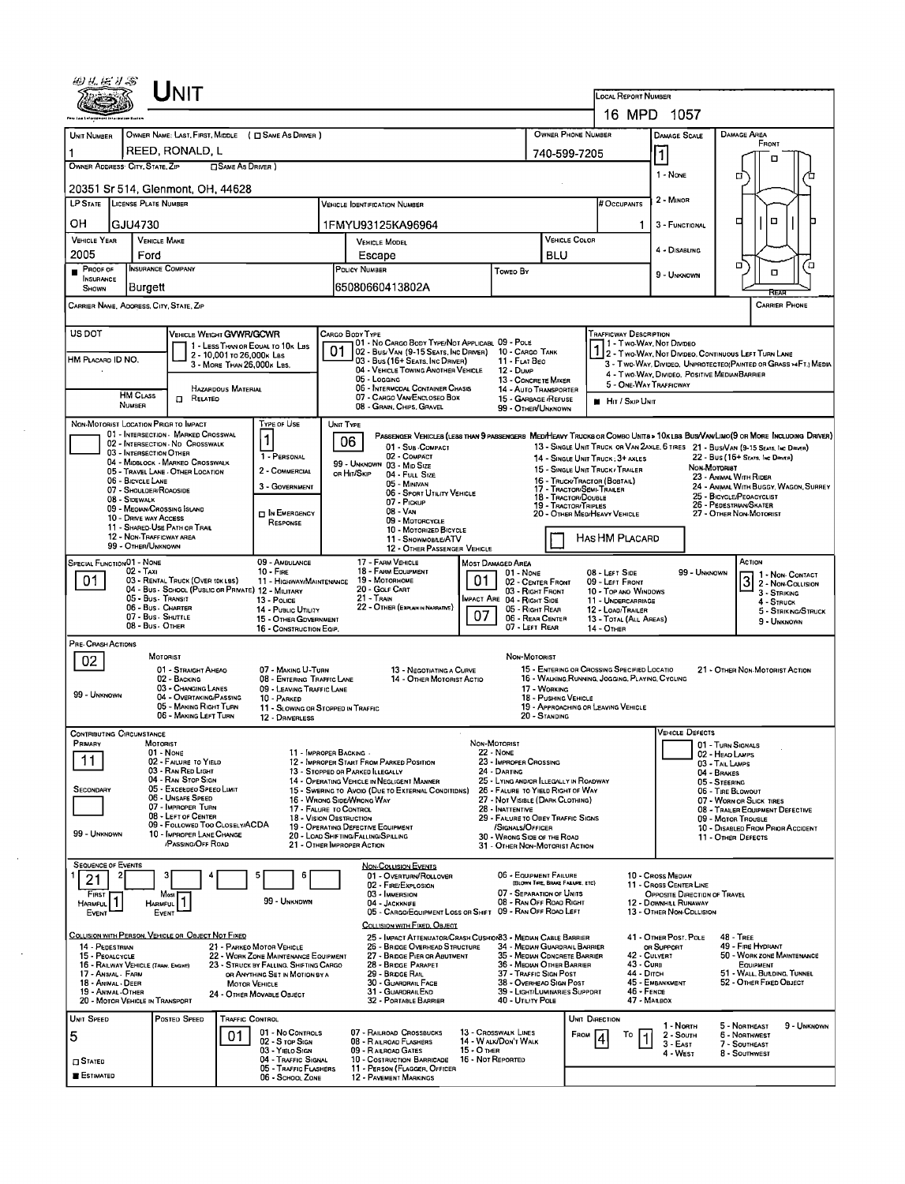| 49 Y.H. J.S<br>Unit                                                                                                                    |                                                                                                                        |                                                                                                |                                                                                                                                                    |
|----------------------------------------------------------------------------------------------------------------------------------------|------------------------------------------------------------------------------------------------------------------------|------------------------------------------------------------------------------------------------|----------------------------------------------------------------------------------------------------------------------------------------------------|
|                                                                                                                                        |                                                                                                                        | LOCAL REPORT NUMBER                                                                            |                                                                                                                                                    |
|                                                                                                                                        |                                                                                                                        | OWNER PHONE NUMBER                                                                             | 16 MPD 1057<br>DAMAGE AREA                                                                                                                         |
| OWNER NAME: LAST, FIRST, MIDDLE ( C SAME AS DRIVER )<br>UNIT NUMBER<br>REED, RONALD, L                                                 |                                                                                                                        | 740-599-7205                                                                                   | <b>DAMAGE SCALE</b><br>FRONT                                                                                                                       |
| OWNER ADDRESS CITY, STATE, ZIP<br><b>SAME AS DRIVER</b> )                                                                              |                                                                                                                        |                                                                                                | $\overline{\mathbf{1}}$<br>▫<br>1 - NONE                                                                                                           |
| 20351 Sr 514, Glenmont, OH, 44628                                                                                                      |                                                                                                                        |                                                                                                | □                                                                                                                                                  |
| LP STATE LICENSE PLATE NUMBER                                                                                                          | <b>VEHICLE IDENTIFICATION NUMBER</b>                                                                                   | # Occupants                                                                                    | 2 - MINOR                                                                                                                                          |
| OН<br>GJU4730                                                                                                                          | 1FMYU93125KA96964                                                                                                      |                                                                                                | $\Box$<br>□<br>3 - FUNCTIONAL                                                                                                                      |
| <b>VEHICLE YEAR</b><br><b>VEHICLE MAKE</b><br>2005<br>Ford                                                                             | VEHICLE MODEL                                                                                                          | VEHICLE COLOR<br><b>BLU</b>                                                                    | 4 - DISABLING                                                                                                                                      |
| <b>INSURANCE COMPANY</b><br>PROOF OF                                                                                                   | Escape<br>POLICY NUMBER<br>Toweo By                                                                                    |                                                                                                | о<br>О<br>O<br>9 - UNKNOWN                                                                                                                         |
| <b>INSURANCE</b><br>Burgett<br>SHOWN                                                                                                   | 65080660413802A                                                                                                        |                                                                                                | Rear                                                                                                                                               |
| CARRIER NAME, ADORESS, CITY, STATE, ZIP                                                                                                |                                                                                                                        |                                                                                                | <b>CARRIER PHONE</b>                                                                                                                               |
| US DOT<br>VEHICLE WEIGHT GVWR/GCWR                                                                                                     | CARGO BODY TYPE<br>101 - No Cargo Body Type/Not Applicabl 09 - Pole                                                    | TRAFFICWAY DESCRIPTION<br>11 - Two Way, Not Divideo                                            |                                                                                                                                                    |
| 1 - LESS THAN OR EQUAL TO 10K LBS<br>2 - 10,001 to 26,000k Las<br>HM PLACARD ID NO.<br>3 - MORE THAN 26,000K LBS.                      | 01<br>02 - Bus/Van (9-15 Seats, Inc Driver)<br>10 - CARGO TANK<br>03 - Bus (16+ Seats, Inc Driver)<br>11 - FLAT BEO    |                                                                                                | 1 - Two-Way, Not Divideo<br>2 - Two-Way, Not Divideo, Continuous Left Turn Lane<br>3 - Two-Way, Divideo, Unprotecteo(Painted or Grass >4Ft.) Media |
|                                                                                                                                        | 04 - VEHICLE TOWING ANOTHER VEHICLE<br>12 Dunn<br>05 - Logging                                                         | 13 - CONCRETE MIXER<br>5 - ONE-WAY TRAFFICWAY                                                  | 4 - Two WAY, DIVIDEO. POSITIVE MEDIAN BARRIER                                                                                                      |
| HAZARDOUS MATERIAL<br><b>HM CLASS</b><br><b>D</b> RELATED<br>NUMBER                                                                    | 06 - INTERMODAL CONTAINER CHASIS<br>07 - CARGO VAN ENCLOSEO BOX                                                        | 14 - Auto Transporter<br>15 - GARBAGE / REFUSE<br><b>H</b> Hit / Skip UNIT                     |                                                                                                                                                    |
| NON-MOTORIST LOCATION PRIGR TO IMPACT<br>TYPE OF USE                                                                                   | 08 - GRAIN, CHIPS, GRAVEL<br>UNIT TYPE                                                                                 | 99 - OTHER/UNKNOWN                                                                             |                                                                                                                                                    |
| 01 - INTERSECTION - MARKED CROSSWAL<br>1<br>02 - INTERSECTION ND CROSSWALK                                                             | 06                                                                                                                     |                                                                                                | PASSENGER VEHICLES (LESS THAN 9 PASSENGERS MEDIHEAVY TRUCKS OR COMBO UNITS > 10K LBS BUS/VAN/LIMO(9 OR MORE INCLUDING DRIVER)                      |
| 03 - INTERSECTION OTHER<br>1 - PERSONAL<br>04 - MIDBLOCK - MARKEO CROSSWALK                                                            | 01 - Sub COMPACT<br>02 - COMPACT<br>99 - UNKNOWN 03 - MID SIZE                                                         | 14 - SINGLE UNIT TRUCK: 3+ AXLES                                                               | 13 - SINGLE UNIT TRUCK OR VAN 2AXLE, 6 TIRES 21 - BUS/VAN (9-15 SEATS, INC DRIVER)<br>22 - Bus (16+ Seats, Inc Denta)                              |
| 2 - COMMERCIAL<br>05 - TRAVEL LANE - OTHER LOCATION<br>06 - BICYCLE LANE                                                               | ов Ніт/Sкір<br>04 - Futt Size<br>05 - MINIVAN                                                                          | 15 - SINGLE UNIT TRUCK / TRAILER<br>16 - TRUCK/TRACTOR (BOBTAIL)                               | NON-MOTORIST<br>23 - ANIMAL WITH RIDER                                                                                                             |
| 3 - GOVERNMENT<br>07 - SHOULDER/ROAOSIDE<br>08 - Sidewalk                                                                              | 06 - Sport UTILITY VEHICLE<br>07 - Pickup                                                                              | 17 - TRACTOR/SEMI-TRAILER<br>18 - Tractor/Double<br>19 - TRACTOR/TRIPLES                       | 24 - ANIMAL WITH BUGGY, WAGON, SURREY<br>25 - BICYCLE/PEOACYCLIST<br>26 - PEDESTRIAN/SKATER                                                        |
| 09 - MEOIAN/CROSSING ISLAND<br>$\Box$ In Emergency<br>10 - DRIVE WAY ACCESS<br>RESPONSE<br>11 - SHARED USE PATH OR TRAIL               | 08 - Van<br>09 - MOTORCYCLE                                                                                            | 20 - OTHER MEDIHEAVY VEHICLE                                                                   | 27 - OTHER NON-MOTORIST                                                                                                                            |
| 12 - NON-TRAFFICWAY AREA<br>99 - OTHER/UNKNOWN                                                                                         | 10 - MOTORIZED BICYCLE<br>11 - SNOWMOBILE/ATV<br>12 - OTHER PASSENGER VEHICLE                                          | Has HM Placard                                                                                 |                                                                                                                                                    |
| <b>SPECIAL FUNCTIONO1 - NONE</b><br>09 - AMBULANCE                                                                                     | 17 - FARM VEHICLE<br><b>MOST DAMAGED AREA</b>                                                                          |                                                                                                | ACTION                                                                                                                                             |
| 02 - Taxi<br>$10 -$ Fine<br>03 - RENTAL TRUCK (OVER 10KLBS)<br>01.<br>11 - HIGHWAY/MAINTENANCE                                         | 18 - FARM EQUIPMENT<br>$01 - None$<br>01<br>19 - Мотовноме                                                             | 08 - LEFT SIDE<br>09 - LEFT FRONT<br>02 - CENTER FRONT                                         | 99 - UNKNOWN<br>1 - NON- CONTACT<br>3<br>2 - Non-Collision                                                                                         |
| 04 - Bus - SCHOOL (PUBLIC OR PRIVATE) 12 - MILITARY<br>05 - Bus - Transit<br>13 - Pouce<br>06 - Bus - Charter                          | 20 - GOLF CART<br>21 - Train<br>MPACT ARE 04 - RIGHT SIDE<br>22 - OTHER (EXPLAININ NARRAINE)                           | 03 - RIGHT FRONT<br>10 - Top and Windows<br>11 - UNDERCARRIAGE                                 | 3 - STRIKING<br>4 - STRUCK                                                                                                                         |
| 14 - Public UTILITY<br>07 - Bus SHUTTLE<br>15 - OTHER GDVERNMENT<br>08 - Bus - OTHER<br>16 - CONSTRUCTION EQIP.                        | 07<br>07 - LEFT REAR                                                                                                   | 05 - Right Rear<br>12 - LOAD/TRAILER<br>06 REAR CENTER<br>13 - TOTAL (ALL AREAS)<br>14 - Отнев | 5 - STRIKING/STRUCK<br>9 - UNKNOWN                                                                                                                 |
| PRE-CRASH ACTIONS                                                                                                                      |                                                                                                                        |                                                                                                |                                                                                                                                                    |
| MOTORIST<br>02<br>01 - STRAIGHT AHEAO<br>07 - MAKING U-TURN                                                                            | NON-MOTORIST<br>13 - NEGOTIATING A CURVE                                                                               | 15 - ENTERING OR CROSSING SPECIFIED LOCATIO                                                    | 21 - OTHER NON-MOTORIST ACTION                                                                                                                     |
| 02 - BACKING<br>08 - ENTERING TRAFFIC LANE<br>03 - CHANGING LANES<br>09 - LEAVING TRAFFIC LANE                                         | 14 - OTHER MOTORIST ACTIO                                                                                              | 16 - WALKING, RUNNING, JOGGING, PLAYING, CYCLING<br>17 - WORKING                               |                                                                                                                                                    |
| 99 - UNKNOWN<br>04 - OVERTAKING PASSING<br>10 - PARKED<br>05 - MAKING RIGHT TURN<br>11 - SLOWING OR STOPPED IN TRAFFIC                 |                                                                                                                        | 18 - PUSHING VEHICLE<br>19 - APPROACHING OR LEAVING VEHICLE                                    |                                                                                                                                                    |
| 06 - MAKING LEFT TURN<br>12 - DRIVERLESS                                                                                               |                                                                                                                        | 20 - STANDING                                                                                  | <b>VEHICLE DEFECTS</b>                                                                                                                             |
| <b>CONTRIBUTING CIRCUMSTANCE</b><br>Primary<br>MOTORIST<br>11 - IMPROPER BACKING -<br>$01 - None$                                      | Non-Motorist<br><b>22 - NONE</b>                                                                                       |                                                                                                | 01 - TURN SIGNALS                                                                                                                                  |
| 11<br>02 - FAILURE TO YIELD<br>03 - RAN RED LIGHT                                                                                      | 23 - IMPROPER CROSSING<br>12 - IMPROPER START FROM PARKED POSITION<br>13 - STOPPED OR PARKED ILLEGALLY<br>24 - DARTING |                                                                                                | 02 - HEAD LAMPS<br>03 - TAIL LAMPS<br>04 - BRAKES                                                                                                  |
| 04 - RAN STOP SIGN<br>05 - Excespeo Speeo Luxit<br><b>SECONDARY</b>                                                                    | 14 - OPERATING VEHICLE IN NEGLIGENT MANNER<br>15 - Swering to Avoid (Due to External Conditions)                       | 25 - LYING AND/OR LLEGALLY IN ROADWAY<br>26 - FALURE TO YIELD RIGHT OF WAY                     | 05 - STEERING<br>06 - TIRE BLOWOUT                                                                                                                 |
| 06 - UNSAFE SPEED<br>07 - IMPROPER TURN<br>17 - FALURE TO CONTROL                                                                      | 16 - Wrong Side/Wrong Way<br>28 - INATTENTIVE                                                                          | 27 - NOT VISIBLE (DARK CLOTHING)                                                               | 07 - WORN OR SLICK TIRES<br>08 - TRAILER EQUIPMENT DEFECTIVE                                                                                       |
| 08 - LEFT OF CENTER<br>18 - VISION OBSTRUCTION<br>09 - FOLLOWED TOO CLOSELY/ACDA<br>99 - UNKNOWN<br>10 - IMPROPER LANE CHANGE          | 19 - OPERATING DEFECTIVE EQUIPMENT<br>/SIGNALS/OFFICER                                                                 | 29 - FAILURE TO OBEY TRAFFIC SIGNS                                                             | 09 - Mator Trousle<br>10 - DISABLED FROM PRIOR ACCIDENT                                                                                            |
| <b>PASSING/OFF ROAD</b>                                                                                                                | 20 - LOAD SHIFTING/FALLING/SPILLING<br>30 - WRONG SIDE OF THE ROAD<br>21 - OTHER IMPROPER ACTION                       | 31 - OTHER NON-MOTORIST ACTION                                                                 | 11 - OTHER DEFECTS                                                                                                                                 |
| <b>SEQUENCE OF EVENTS</b><br>5<br>6<br>21                                                                                              | <b>NON-COLLISION EVENTS</b><br>01 - OVERTURN/ROLLOVER                                                                  | 06 - EQUIPMENT FAILURE                                                                         | 10 - Cross Median                                                                                                                                  |
| FIRST<br>Mosi                                                                                                                          | 02 - FIRE/EXPLOSION<br>03 - IMMERSION                                                                                  | (BLOWN TIRE, BRAKE FAILURE, ETC)<br>07 - SEPARATION OF UNITS                                   | 11 - Cross Center Line<br>OPPOSITE DIRECTION OF TRAVEL                                                                                             |
| 99 - UNKNDWN<br><b>HARMFUL</b><br><b>HARMFUL</b><br>EVENT<br>EVENT                                                                     | 04 - JACKKNIFE<br>05 - CARGO/EQUIPMENT LOSS OR SHIFT                                                                   | 08 - RAN OFF ROAD RIGHT<br>09 - RAN OFF ROAD LEFT                                              | 12 - DOWNHILL RUNAWAY<br>13 - OTHER NON-COLLISION                                                                                                  |
| COLLISION WITH PERSON, VEHICLE OR OBJECT NOT FIXED                                                                                     | COLLISION WITH FIXED, OBJECT<br>25 - IMPACT ATTENUATOR/CRASH CUSHION33 - MEDIAN CABLE BARRIER                          |                                                                                                | 41 - OTHER POST, POLE<br>48 - TREE                                                                                                                 |
| 21 - PARKEO MOTOR VEHICLE<br>14 - PEDESTRIAN<br>15 - PEOALCYCLE<br>22 - WORK ZONE MAINTENANCE EQUIPMENT                                | 26 - BRIDGE OVERHEAD STRUCTURE<br>27 - BRIDGE PIER OR ABUTMENT                                                         | 34 - MEDIAN GUARDRAIL BARRIER<br>35 - MEDIAN CONCRETE BARRIER<br>42 - CULVERT                  | 49 - FIRE HYDRANT<br>OR SUPPORT<br>50 - WORK ZONE MAINTENANCE                                                                                      |
| 16 - RAILWAY VEHICLE (TRAIN, ENGINE)<br>23 - STRUCK BY FALLING, SHIFTING CARGO<br>17 - Animal - Farm<br>OR ANYTHING SET IN MOTION BY A | 28 - BRIDGE PARAPET<br>29 - BRIDGE RAIL                                                                                | $43 - C$ URB<br>36 - MEORN OTHER BARRIER<br>37 - TRAFFIC SIGN POST<br>44 - Ditch               | EQUIPMENT<br>51 - WALL, BUILDING, TUNNEL                                                                                                           |
| 18 - Animal - Deer<br>MOTOR VEHICLE<br>19 - Anthal - OTHER<br>24 - Отнен Моуавце Овлест<br>20 - MOTOR VEHICLE IN TRANSPORT             | <b>30 - GUARDRAIL FACE</b><br>31 GUARDRAILEND<br>32 - PORTABLE BARRIER<br>40 - UTILITY POLE                            | 38 - Overhead Sign Post<br>39 - LIGHT/LUMINARIES SUPPDRT<br>46 - FENDE<br>47 - MALBOX          | 45 - EMBANKMENT<br>52 - OTHER FIXED OBJECT                                                                                                         |
| UNIT SPEED<br>Posted Speed<br><b>TRAFFIC CONTROL</b>                                                                                   |                                                                                                                        | UNIT DIRECTION                                                                                 |                                                                                                                                                    |
| 01 - No CONTROLS<br>5<br>01<br>02 - S TOP SIGN                                                                                         | 07 - RAILROAD CROSSBUCKS<br>13 - CROSSWALK LINES<br>14 - WALK/DON'T WALK<br>08 - RAILROAD FLASHERS                     | FROM<br>То                                                                                     | 9 - UNKNOWN<br>1 - North<br>5 - Northeast<br>2 - South<br>6 - NORTHWEST                                                                            |
| 03 - YIELO SIGN<br>04 - TRAFFIC SIGNAL<br>$\square$ Stated                                                                             | $15 - 0$ THER<br>09 - RAILROAD GATES<br><b>10 - COSTRUCTION BARRICADE</b><br>16 - Not Reported                         |                                                                                                | 3 - East<br>7 - SOUTHEAST<br>4 - WEST<br>8 - Southwest                                                                                             |
| 05 - TRAFFIC FLASHERS<br><b>ESTIMATED</b><br>06 - SCHOOL ZONE                                                                          | 11 - PERSON (FLAGGER, OFFICER<br>12 - PAVEMENT MARKINGS                                                                |                                                                                                |                                                                                                                                                    |

 $\sim$   $\epsilon$ 

 $\sim 10^{-11}$ 

 $\sim$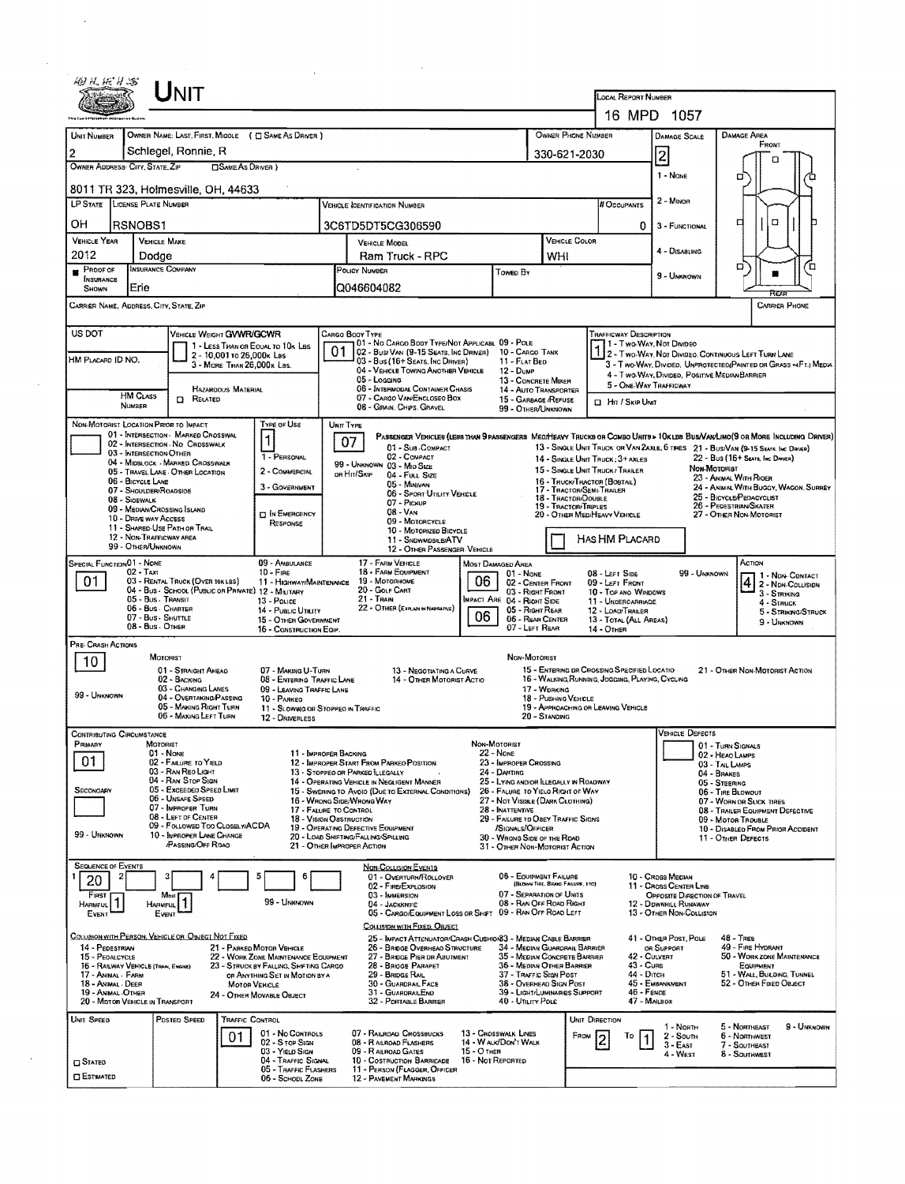|                                                        |                                                | UNIT                                                                                   |                                                          |                                                                                |           |                                                                                                                                   |               |                                                               |                                                            |                                                                      | <b>LOCAL REPORT NUMBER</b>                                     |                                                                                   |                                                                                                                                                                                                                    |
|--------------------------------------------------------|------------------------------------------------|----------------------------------------------------------------------------------------|----------------------------------------------------------|--------------------------------------------------------------------------------|-----------|-----------------------------------------------------------------------------------------------------------------------------------|---------------|---------------------------------------------------------------|------------------------------------------------------------|----------------------------------------------------------------------|----------------------------------------------------------------|-----------------------------------------------------------------------------------|--------------------------------------------------------------------------------------------------------------------------------------------------------------------------------------------------------------------|
|                                                        |                                                |                                                                                        |                                                          |                                                                                |           |                                                                                                                                   |               |                                                               |                                                            |                                                                      |                                                                | 16 MPD 1057                                                                       |                                                                                                                                                                                                                    |
| <b>UNIT NUMBER</b>                                     |                                                | OWNER NAME: LAST, FIRST, MIDDLE ( C SAME AS DRIVER )                                   |                                                          |                                                                                |           |                                                                                                                                   |               |                                                               |                                                            | OWNER PHONE NUMBER                                                   |                                                                | <b>DAMAGE SCALE</b>                                                               | <b>DAMAGE AREA</b>                                                                                                                                                                                                 |
| $\overline{2}$                                         |                                                | Schlegel, Ronnie, R                                                                    |                                                          |                                                                                |           |                                                                                                                                   |               |                                                               |                                                            | 330-621-2030                                                         |                                                                | $\overline{z}$                                                                    | FRONT<br>п                                                                                                                                                                                                         |
| OWNER ADDRESS' CITY, STATE, ZIP                        |                                                |                                                                                        | <b>OSAME AS DRIVER</b> )                                 |                                                                                |           |                                                                                                                                   |               |                                                               |                                                            |                                                                      |                                                                | 1 - None                                                                          | σ                                                                                                                                                                                                                  |
| <b>LP STATE</b>                                        | LICENSE PLATE NUMBER                           | 8011 TR 323, Holmesville, OH, 44633                                                    |                                                          |                                                                                |           | VEHICLE OENTIFICATION NUMBER                                                                                                      |               |                                                               |                                                            |                                                                      | # Occupants                                                    | 2 - MINOR                                                                         |                                                                                                                                                                                                                    |
| OН                                                     | RSNOBS1                                        |                                                                                        |                                                          |                                                                                |           |                                                                                                                                   |               |                                                               |                                                            |                                                                      |                                                                | 3 - FUNCTIONAL                                                                    | ₫<br>α                                                                                                                                                                                                             |
| <b>VEHICLE YEAR</b>                                    | <b>VEHICLE MAKE</b>                            |                                                                                        |                                                          |                                                                                |           | 3C6TD5DT5CG306590<br>VEHICLE MODEL                                                                                                |               |                                                               |                                                            | VEHICLE COLOR                                                        | 0                                                              |                                                                                   |                                                                                                                                                                                                                    |
| 2012                                                   | Dodge                                          |                                                                                        |                                                          |                                                                                |           | Ram Truck - RPC                                                                                                                   |               |                                                               | WHI                                                        |                                                                      |                                                                | 4 - DISABLING                                                                     | σ                                                                                                                                                                                                                  |
| PROOF OF<br><b>INSURANCE</b>                           | <b>INSURANCE COMPANY</b><br>Erie               |                                                                                        |                                                          |                                                                                |           | POLICY NUMBER<br>IQ046604082                                                                                                      |               | Towen By                                                      |                                                            |                                                                      |                                                                | 9 - UNKNOWN                                                                       |                                                                                                                                                                                                                    |
| SHOWN<br>CARRIER NAME, ADDRESS, CITY, STATE, ZIP       |                                                |                                                                                        |                                                          |                                                                                |           |                                                                                                                                   |               |                                                               |                                                            |                                                                      |                                                                |                                                                                   | RFAR<br><b>CARRIER PHONE</b>                                                                                                                                                                                       |
|                                                        |                                                |                                                                                        |                                                          |                                                                                |           |                                                                                                                                   |               |                                                               |                                                            |                                                                      |                                                                |                                                                                   |                                                                                                                                                                                                                    |
| US DOT                                                 |                                                | VEHICLE WEIGHT GVWR/GCWR                                                               | 1 - LESS THAN OR EQUAL TO 10K LBS                        |                                                                                |           | CARGO BOOY TYPE<br>01 - No CARGO BODY TYPE/NOT APPLICABL 09 - POLE                                                                |               |                                                               |                                                            |                                                                      | TRAFFICWAY DESCRIPTION                                         | 1 Two-Way, Not Divideo                                                            |                                                                                                                                                                                                                    |
| HM PLACARD ID NO.                                      |                                                |                                                                                        | 2 - 10.001 to 26.000x Las<br>3 - MORE THAN 26.000 K LBS. |                                                                                | 01        | 02 - Busi Van (9-15 Seats, Inc Driver) 10 - Cargo Tank<br>03 - Bus (16+ Seats, Inc DRIVER)<br>04 - VEHICLE TOWING ANOTHER VEHICLE |               | 11 - FLAT BED<br>12 - Duup                                    |                                                            |                                                                      |                                                                |                                                                                   | 2 - Two-Way, Not Divideo, Continuous Left Turn Lane<br>3 - Two-Way, Divideo. Unprotected Painted on Grass -4F1. Media                                                                                              |
|                                                        |                                                |                                                                                        | <b>HAZAROOUS MATERIAL</b>                                |                                                                                |           | 05 - Loccing<br>06 - INTERMODAL CONTAINER CHASIS                                                                                  |               |                                                               | 13 - CONCRETE MIXER<br>14 - AUTO TRANSPORTER               |                                                                      |                                                                | 5 - ONE-WAY TRAFFICWAY                                                            | 4 - Two-WAY, DIVIDEO, POSITIVE MEDIAN BARRIER                                                                                                                                                                      |
|                                                        | <b>HM CLASS</b><br><b>NUMBER</b>               | <b>D</b> RELATED                                                                       |                                                          |                                                                                |           | 07 - CARGO VAN ENCLOSEO BOX<br>08 - GRAIN, CHIPS, GRAVEL                                                                          |               | 15 - GARBAGE /REFUSE<br>99 - OTHER/UNKNOWN                    |                                                            |                                                                      | <b>CI Hit / Skip Unit</b>                                      |                                                                                   |                                                                                                                                                                                                                    |
| NON-MOTORIST LOCATION PRIOR TO IMPACT                  |                                                |                                                                                        |                                                          | TYPE OF USE                                                                    | UNIT TYPE |                                                                                                                                   |               |                                                               |                                                            |                                                                      |                                                                |                                                                                   |                                                                                                                                                                                                                    |
|                                                        |                                                | 01 - INTERSECTION - MARKED CROSSWAL<br>02 - INTERSECTION NO CROSSWALK                  |                                                          | 1                                                                              |           | 07<br>01 - Sub-COMPACT                                                                                                            |               |                                                               |                                                            |                                                                      |                                                                |                                                                                   | PASSENGER VEHICLES (LESS THAN 9 PASSENGERS MEDIMERAY TRUCKS OR COMBO UNITS > 10KLES BUS/VAN/LIMO(9 OR MORE INCLUDING DRIVER)<br>13 - SINGLE UNIT TRUCK OR VAN ZAXLE, 6 TIRES 21 - BUS/VAN (9-15 SEATS. INC DRIVER) |
|                                                        | 03 - INTERSECTION OTHER                        | 04 - MIDBLOCK - MARKED CROSSWALK                                                       |                                                          | 1 - PERSONAL                                                                   |           | 02 - COMPACT<br>99 - UNKNOWN 03 - MID SIZE                                                                                        |               |                                                               |                                                            | 14 - Single Unit Truck: 3+ Axi es<br>15 - SINGLE UNIT TRUCK/ TRAILER |                                                                |                                                                                   | 22 - BUS (16+ SEATS, INC DANER)<br>NON-MOTORIST                                                                                                                                                                    |
|                                                        | 06 - BICYCLE LANE<br>07 - Shoulder/Roadsloe    | 05 - TRAVEL LANE - OTHER LOCATION                                                      |                                                          | 2 - COMMERCIAL<br>3 - GOVERNMENT                                               |           | OR HIT/SKIP<br>04 - FULL SIZE<br>05 - Munivan                                                                                     |               |                                                               |                                                            | 16 - TRUCK/TRACTOR (BOSTAIL)<br>17 - TRACTOR/SEMI-TRAILER            |                                                                |                                                                                   | 23 - ANMAL WITH RIDER<br>24 - ANMAL WITH BUGGY, WAGON, SURREY                                                                                                                                                      |
|                                                        | 08 - SIOEWALK                                  | 09 - MEDIAN/CROSSING ISLAND                                                            |                                                          |                                                                                |           | 06 - SPORT UTILITY VEHICLE<br>07 - Pickup                                                                                         |               |                                                               |                                                            | 18 - TRACTOR/DOUBLE<br>19 - TRACTOR/TRIPLES                          |                                                                |                                                                                   | 25 - BICYCLE/PEDACYCLIST<br>26 - PEDESTRIAN/SKATER                                                                                                                                                                 |
|                                                        | 10 - DRIVE WAY ACCESS                          | 11 - SHARED-USE PATH OR TRAIL                                                          |                                                          | <b>D IN EMERGENCY</b><br>RESPONSE                                              |           | $08 - V_{AN}$<br>09 - MOTORCYCLE<br>10 - MOTORIZED BICYCLE                                                                        |               |                                                               |                                                            | 20 - OTHER MED/HEAVY VEHICLE                                         |                                                                |                                                                                   | 27 - OTHER NON-MOTORIST                                                                                                                                                                                            |
|                                                        | 12 - NON-TRAFFICWAY AREA<br>99 - OTHER/UNKNOWN |                                                                                        |                                                          |                                                                                |           | 11 - SNDWMDBILE/ATV<br>12 - OTHER PASSENGER VEHICLE                                                                               |               |                                                               |                                                            |                                                                      | HAS HM PLACARD                                                 |                                                                                   |                                                                                                                                                                                                                    |
| SPECIAL FUNCTION 01 - NONE                             | $02 - TAX1$                                    |                                                                                        |                                                          | 09 - AMBULANCE<br>$10 - F$ IRE                                                 |           | 17 - FARM VEHICLE<br>18 - FARM EQUIPMENT                                                                                          |               | Most Damaged Area                                             |                                                            |                                                                      |                                                                |                                                                                   | ACTION                                                                                                                                                                                                             |
| 01                                                     |                                                | 03 - RENTAL TRUCK (OVER 10KLBS)<br>04 - Bus - School (Public of Private) 12 - Military |                                                          | 11 - HIGHWAY/MAINTENANCE                                                       |           | 19 - Мотояноме<br>20 - GOLF CART                                                                                                  | 06            | 01 None                                                       | 02 - CENTER FRONT<br>03 - RIGHT FRONT                      |                                                                      | 08 - LEFT SIDE<br>09 - LEFT FRONT                              | 99 - UNKNOWN                                                                      | 1 - NDN- CONTACT<br>2 - NDN-COLUSION                                                                                                                                                                               |
|                                                        | 05 - Bus. Transit<br>06 - Bus - Charter        |                                                                                        |                                                          | 13 - Pouce<br>14 - Public Utility                                              |           | $21 -$ Train<br>22 - OTHER (EXPLAN IN NARRATIVE)                                                                                  |               | MPACT ARE 04 - RIGHT SIDE                                     | 05 - Right Rear                                            |                                                                      | 10 - TOP AND WINDOWS<br>11 - UNDERCARRIAGE<br>12 - LOAD/TRALER |                                                                                   | $3 -$ Striking<br>4 - Struck<br>5 - STRIKING/STRUCK                                                                                                                                                                |
|                                                        | 07 - Bus - SHUTTLE<br>08 - Bus - OTHER         |                                                                                        |                                                          | 15 - OTHER GOVERNMENT<br>16 - CONSTRUCTION EOIP.                               |           |                                                                                                                                   | 06            |                                                               | 06 - REAR CENTER<br>07 - LEFT REAR                         | $14 -$ OTHER                                                         | 13 - TOTAL (ALL AREAS)                                         |                                                                                   | 9 - UNKNOWN                                                                                                                                                                                                        |
| PRE-CRASH ACTIONS                                      |                                                |                                                                                        |                                                          |                                                                                |           |                                                                                                                                   |               |                                                               |                                                            |                                                                      |                                                                |                                                                                   |                                                                                                                                                                                                                    |
| 10                                                     |                                                | MOTORIST<br>01 - STRAIGHT AHEAD                                                        |                                                          | 07 - MAKING U-TURN                                                             |           | 13 - NEGOTIATING A CURVE                                                                                                          |               |                                                               | Non-Motorist                                               | 15 - ENTERING DR CROSSING SPECIFIED LOCATIO                          |                                                                |                                                                                   | 21 - OTHER NON-MOTORIST ACTION                                                                                                                                                                                     |
|                                                        |                                                | 02 - BACKING<br>03 - CHANGING LANES                                                    |                                                          | 08 - ENTERING TRAFFIC LANE<br>09 - LEAVING TRAFFIC LANE                        |           | 14 - OTHER MOTORIST ACTIO                                                                                                         |               |                                                               | 17 - WORKING                                               | 16 - WALKING, RUNNING, JOSGING, PLAYING, CYCLING                     |                                                                |                                                                                   |                                                                                                                                                                                                                    |
| 99 - Unknown                                           |                                                | 04 - OVERTAKING/PASSING<br>05 - MAKING RIGHT TURN                                      |                                                          | 10 - PARKEO<br>11 - SLOWING OR STOPPEO IN TRAFFIC                              |           |                                                                                                                                   |               |                                                               | 18 - Pushing Vehicle                                       | 19 - APPROACHING OR LEAVING VEHICLE                                  |                                                                |                                                                                   |                                                                                                                                                                                                                    |
| CONTRIBUTING CIRCUMSTANCE                              |                                                | 06 - MAKING LEFT TURN                                                                  |                                                          | 12 - DRIVERLESS                                                                |           |                                                                                                                                   |               |                                                               | 20 - STANDING                                              |                                                                      |                                                                | VEHICLE DEFECTS                                                                   |                                                                                                                                                                                                                    |
| PRIMARY                                                | MOTORIST                                       | 01 - None                                                                              |                                                          | 11 - IMPROPER BACKING                                                          |           |                                                                                                                                   |               | NON-MOTORIST<br>$22 - None$                                   |                                                            |                                                                      |                                                                |                                                                                   | 01 - TURN SIGNALS<br>02 - HEAD LAMPS                                                                                                                                                                               |
| 01.                                                    |                                                | 02 - FAILURE TO YIELD<br>03 - RAN REO LIGHT                                            |                                                          |                                                                                |           | 12 - IMPROPER START FROM PARKEO POSITION<br>13 - STOPPEO OR PARKED ILLEGALLY                                                      |               | 23 - IMPROPER CROSSING<br>24 - DARTING                        |                                                            |                                                                      |                                                                |                                                                                   | 03 - TAIL LAMPS<br>04 - BRAKES                                                                                                                                                                                     |
| SECONOARY                                              |                                                | 04 - RAN STOP SIGN<br>05 - Exceeded Speed Limit                                        |                                                          |                                                                                |           | 14 - OPERATING VEHICLE IN NEGLIGENT MANNER<br>15 - Swering to Avoid (Due to External Conditions)                                  |               | 26 - FALURE TO YIELO RIGHT OF WAY                             |                                                            | 25 - LYING AND/OR LLEGALLY IN ROADWAY                                |                                                                |                                                                                   | 05 - STEERING<br>06 - TIRE BLOWOUT                                                                                                                                                                                 |
|                                                        |                                                | 06 - UNSAFE SPEED<br>07 - IMPROPER TURN                                                |                                                          | 17 - FALURE TO CONTROL                                                         |           | 16 - WRONG SIDE/WRONG WAY                                                                                                         |               | 27 - NOT VISIBLE (DARK CLOTHING)<br>28 - INATTENTIVE          |                                                            |                                                                      |                                                                |                                                                                   | 07 - WORN OR SLICK TIRES<br>08 - TRAILER EQUIPMENT DEFECTIVE                                                                                                                                                       |
|                                                        |                                                | 08 - LEFT OF CENTER<br>09 - FOLLOWED TOO CLOSELWACDA                                   |                                                          | 18 - VISION OBSTRUCTION                                                        |           | 19 - OPERATING DEFECTIVE EQUIPMENT                                                                                                |               | 29 - FAILURE TO OBEY TRAFFIC SIGNS<br>/SIGNALS/OFFICER        |                                                            |                                                                      |                                                                |                                                                                   | 09 - Motor TrousLe<br>10 - DISABLED FROM PRIOR ACCIDENT                                                                                                                                                            |
| 99 - Unknown                                           |                                                | 10 - IMPROPER LANE CHANGE<br>/PASSING/OFF ROAD                                         |                                                          |                                                                                |           | 20 - LOAD SHIFTING/FALLING/SPILLING<br>21 - OTHER IMPROPER ACTION                                                                 |               | 30 - Wrong Side of the Road<br>31 - OTHER NON-MOTORIST ACTION |                                                            |                                                                      |                                                                |                                                                                   | 11 - OTHER DEFECTS                                                                                                                                                                                                 |
| <b>SEQUENCE OF EVENTS</b>                              |                                                |                                                                                        |                                                          |                                                                                |           | <b>NON-COLLISION EVENTS</b>                                                                                                       |               |                                                               |                                                            |                                                                      |                                                                |                                                                                   |                                                                                                                                                                                                                    |
| 2<br>20                                                |                                                |                                                                                        |                                                          | 6                                                                              |           | 01 - OVERTURN/ROLLOVER<br>02 - FIRE/EXPLOSION                                                                                     |               | 07 - SEPARATION OF UNITS                                      | 06 - EQUIPMENT FAILURE<br>(BLOWN TIRE, BRAKE FAILURE, ETC) |                                                                      |                                                                | 10 - Cross Median<br>11 - Cross Center Line                                       |                                                                                                                                                                                                                    |
| First<br><b>HARMFUL</b>                                |                                                | Most 1<br>HARMFUL <sup>1</sup><br>EVENT                                                |                                                          | 99 - UNKNOWN                                                                   |           | 03 - IMMERSION<br>04 - JACKKNIFE<br>05 - CARGO/EQUIPMENT LOSS OR SHIFT                                                            |               | 09 - RAN OFF ROAD LEFT                                        | 08 - RAN OFF ROAD RIGHT                                    |                                                                      |                                                                | OPPOSITE DIRECTION OF TRAVEL<br>12 - Downhill Runaway<br>13 - OTHER NON-COLLISION |                                                                                                                                                                                                                    |
| EVENT                                                  |                                                |                                                                                        |                                                          |                                                                                |           | COLLISION WITH FIXED, OBJECT                                                                                                      |               |                                                               |                                                            |                                                                      |                                                                |                                                                                   |                                                                                                                                                                                                                    |
| 14 - PEDESTRIAN                                        |                                                | <u>Collision with Person, Vehicle or Object Not Fixed</u>                              | 21 - PARKED MOTOR VEHICLE                                |                                                                                |           | 25 - IMPACT ATTENUATOR/CRASH CUSHION33 - MEDIAN CABLE BARRIER<br>26 - BRIDGE OVERHEAD STRUCTURE                                   |               |                                                               |                                                            | 34 - MEDIAN GUARORAIL BARRIER                                        |                                                                | 41 - OTHER POST, POLE<br>OR SUPPORT                                               | $48 -$ TREE<br>49 - FIRE HYDRANT                                                                                                                                                                                   |
| 15 - PEOALCYCLE<br>16 - RAILWAY VEHICLE (TRAM, ENGINE) |                                                |                                                                                        |                                                          | 22 - WORK ZONE MAINTENANCE EQUIPMENT<br>23 - STRUCK BY FALLING, SHIFTING CARGO |           | 27 - BRIDGE PIER DR ABUTMENT<br>28 - BRIOGE PARAPET                                                                               |               | 36 - MEDIAN OTHER BARRIER                                     |                                                            | 35 - MEDIAN CONCRETE BARRIER                                         | 42 - CULVERT<br>43 - Curs                                      |                                                                                   | 50 - WORK ZONE MAINTENANCE<br>EQUIPMENT                                                                                                                                                                            |
| 17 - ANIMAL - FARM<br>18 - Animal - Deer               |                                                |                                                                                        | MOTOR VEHICLE                                            | OR ANYTHING SET IN MOTION BY A                                                 |           | 29 - BRIDGE RAIL<br>30 - GUARDRAIL FACE                                                                                           |               | 37 - TRAFFIC SIGN POST                                        | 38 - OVERHEAD SIGN POST                                    |                                                                      | 44 - Опсн                                                      | 45 - EMBANKMENT                                                                   | 51 - WALL, BULDING, TUNNEL<br>52 - OTHER FIXED OBJECT                                                                                                                                                              |
| 19 - ANIMAL -OTHER<br>20 - MOTOR VEHICLE IN TRANSPORT  |                                                |                                                                                        | 24 - OTHER MOVABLE OBJECT                                |                                                                                |           | 31 - GUARDRAILEND<br>32 - PORTABLE BARRIER                                                                                        |               | 40 - UTILITY POLE                                             |                                                            | 39 - LIGHT/LUMINARIES SUPPORT                                        | 46 - FENCE<br>47 - MAILBOX                                     |                                                                                   |                                                                                                                                                                                                                    |
| UNIT SPEED                                             |                                                | POSTED SPEED                                                                           | <b>TRAFFIC CONTROL</b>                                   |                                                                                |           |                                                                                                                                   |               |                                                               |                                                            | <b>UNIT DIRECTION</b>                                                |                                                                | 1 - North                                                                         | 5 - NORTHEAST<br>9 - UNKNOWN                                                                                                                                                                                       |
|                                                        |                                                |                                                                                        | 01                                                       | 01 - No CONTROLS<br>02 - S TOP SIGN<br>03 - YIELD SIGN                         |           | 07 - RAILROAD CROSSBUCKS<br>08 - RAILROAD FLASHERS                                                                                | $15 - O$ THER | 13 - Crosswalk Lines<br>14 - WALK/DON'T WALK                  |                                                            | FROM                                                                 | То                                                             | 2 - South<br>$3 -$ EAST                                                           | 6 - NORTHWEST<br>7 - SOUTHEAST                                                                                                                                                                                     |
| $\square$ Stated                                       |                                                |                                                                                        |                                                          | 04 - TRAFFIC SIGNAL<br>05 - Traffic Flashers                                   |           | 09 - RAILROAD GATES<br>10 - COSTRUCTION BARRICADE<br>11 - PERSON (FLAGGER, OFFICER                                                |               | 16 - Not Reported                                             |                                                            |                                                                      |                                                                | 4 - West                                                                          | 8 - SOUTHWEST                                                                                                                                                                                                      |
| <b>CI ESTIMATED</b>                                    |                                                |                                                                                        |                                                          | 06 - Schopl Zone                                                               |           | 12 - PAVEMENT MARKINGS                                                                                                            |               |                                                               |                                                            |                                                                      |                                                                |                                                                                   |                                                                                                                                                                                                                    |

 $\mathcal{A}^{\text{max}}_{\text{max}}$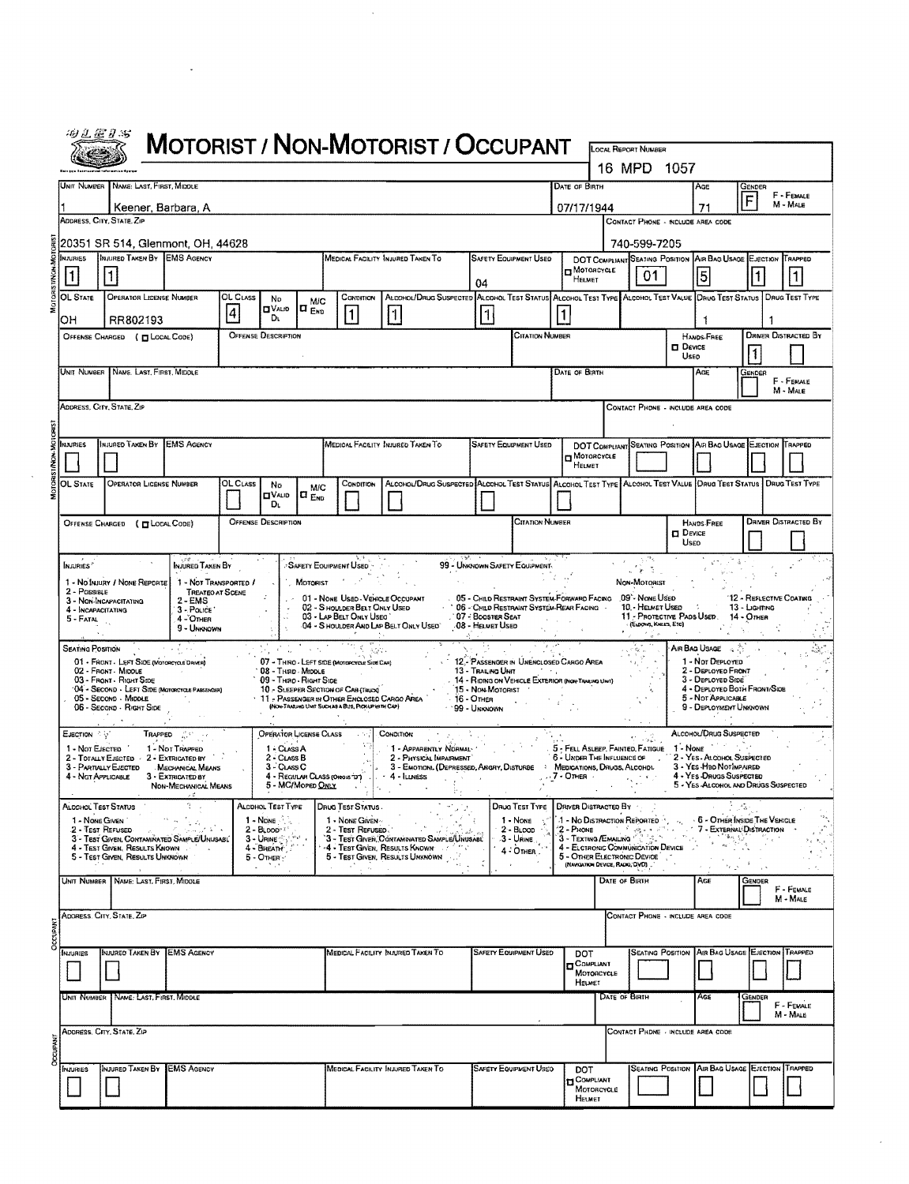|                                                                                                                                                  | 田义正日书                                        |                                                                                                     |                                                        |                |                                            |                                           |                                                                                                                                          | MOTORIST / NON-MOTORIST / OCCUPANT                                                                 |                                                 |                                                                                            |                          |                                                 | <b>LOCAL REPORT NUMBER</b>                                        |               |                                                                              |                                         |                             |  |  |  |
|--------------------------------------------------------------------------------------------------------------------------------------------------|----------------------------------------------|-----------------------------------------------------------------------------------------------------|--------------------------------------------------------|----------------|--------------------------------------------|-------------------------------------------|------------------------------------------------------------------------------------------------------------------------------------------|----------------------------------------------------------------------------------------------------|-------------------------------------------------|--------------------------------------------------------------------------------------------|--------------------------|-------------------------------------------------|-------------------------------------------------------------------|---------------|------------------------------------------------------------------------------|-----------------------------------------|-----------------------------|--|--|--|
|                                                                                                                                                  |                                              |                                                                                                     |                                                        |                |                                            |                                           |                                                                                                                                          |                                                                                                    |                                                 |                                                                                            |                          |                                                 | 16 MPD 1057                                                       |               |                                                                              |                                         |                             |  |  |  |
|                                                                                                                                                  |                                              | UNIT NUMBER NAME: LAST, FIRST, MIDDLE                                                               |                                                        |                |                                            |                                           |                                                                                                                                          |                                                                                                    |                                                 |                                                                                            | DATE OF BIRTH            |                                                 |                                                                   |               | Age                                                                          | GENDER                                  |                             |  |  |  |
|                                                                                                                                                  | Keener, Barbara, A                           |                                                                                                     |                                                        |                |                                            |                                           |                                                                                                                                          |                                                                                                    |                                                 |                                                                                            |                          | F - FEMALE<br>F<br>M - MALE<br>07/17/1944<br>71 |                                                                   |               |                                                                              |                                         |                             |  |  |  |
|                                                                                                                                                  |                                              | ADDRESS, CITY, STATE, ZIP                                                                           |                                                        |                |                                            |                                           |                                                                                                                                          |                                                                                                    |                                                 |                                                                                            |                          |                                                 | CONTACT PHONE - INCLUDE AREA CODE                                 |               |                                                                              |                                         |                             |  |  |  |
| 20351 SR 514, Glenmont, OH, 44628<br>INJURED TAKEN BY EMS AGENCY<br>MEDICAL FACILITY INJURED TAKEN TO<br><b>SAFETY EQUIPMENT USED</b><br>MJURISS |                                              |                                                                                                     |                                                        |                |                                            |                                           |                                                                                                                                          |                                                                                                    |                                                 |                                                                                            |                          |                                                 | 740-599-7205<br><b>DOT COMPLIANT</b> SEATING POSITION             |               | AIR BAG USAGE EJECTION                                                       |                                         | TRAPPED                     |  |  |  |
|                                                                                                                                                  |                                              |                                                                                                     |                                                        |                |                                            |                                           |                                                                                                                                          |                                                                                                    |                                                 |                                                                                            | HELMET                   | D MOTORCYCLE                                    | 01                                                                |               | 5                                                                            |                                         |                             |  |  |  |
|                                                                                                                                                  | OL STATE                                     | <b>OPERATOR LICENSE NUMBER</b>                                                                      |                                                        | OL CLASS       | No                                         | <b>M/C</b>                                | CONDITION                                                                                                                                | ALCOHOL/DRUG SUSPECTED ALCOHOL TEST STATUS ALCOHOL TEST TYPE ALCOHOL TEST VALUE DRUG TEST STATUS   | 04                                              |                                                                                            |                          |                                                 |                                                                   |               |                                                                              |                                         | <b>DRUG TEST TYPE</b>       |  |  |  |
|                                                                                                                                                  | OН                                           | RR802193                                                                                            |                                                        | $\overline{4}$ | <b>CIVALIO</b><br>Dı.                      | IO <sub>END</sub>                         | $\vert$ 1                                                                                                                                | $\vert$ 1                                                                                          |                                                 |                                                                                            |                          |                                                 |                                                                   |               | 1                                                                            |                                         |                             |  |  |  |
|                                                                                                                                                  |                                              | OFFENSE CHARGED ( CLOCAL CODE)                                                                      |                                                        |                | <b>OFFENSE DESCRIPTION</b>                 |                                           |                                                                                                                                          |                                                                                                    |                                                 | <b>CITATION NUMBER</b>                                                                     |                          |                                                 |                                                                   | $\Box$ Device | HANDS-FREE                                                                   |                                         | <b>DRIVER DISTRACTED BY</b> |  |  |  |
|                                                                                                                                                  |                                              |                                                                                                     |                                                        |                |                                            |                                           |                                                                                                                                          |                                                                                                    |                                                 |                                                                                            |                          |                                                 |                                                                   | Useo          |                                                                              | 1                                       |                             |  |  |  |
| UNIT NUMBER NAME LAST, FIRST, MIDOLE                                                                                                             |                                              |                                                                                                     |                                                        |                |                                            |                                           |                                                                                                                                          |                                                                                                    |                                                 |                                                                                            | <b>DATE OF BIRTH</b>     |                                                 |                                                                   |               | Age                                                                          | Gender                                  | F - FEMALE                  |  |  |  |
|                                                                                                                                                  |                                              | ADDRESS, CITY, STATE, ZIP                                                                           |                                                        |                |                                            |                                           |                                                                                                                                          |                                                                                                    |                                                 |                                                                                            |                          | M - MALE<br>CONTACT PHONE - INCLUDE AREA CODE   |                                                                   |               |                                                                              |                                         |                             |  |  |  |
|                                                                                                                                                  |                                              |                                                                                                     |                                                        |                |                                            |                                           |                                                                                                                                          |                                                                                                    |                                                 |                                                                                            |                          |                                                 |                                                                   |               |                                                                              |                                         |                             |  |  |  |
|                                                                                                                                                  | MAIRIES                                      | INJURED TAKEN BY EMS AGENCY                                                                         |                                                        |                |                                            |                                           |                                                                                                                                          | MEDICAL FACEITY INJURED TAKEN TO                                                                   |                                                 | <b>SAFETY EQUIPMENT USED</b>                                                               |                          | MOTORCYCLE                                      |                                                                   |               | DOT COMPLIANT SEATING POSITION AIR BAG USAGE EJECTION TRAPPED                |                                         |                             |  |  |  |
|                                                                                                                                                  |                                              |                                                                                                     |                                                        |                |                                            |                                           |                                                                                                                                          |                                                                                                    |                                                 |                                                                                            | HELMET                   |                                                 |                                                                   |               |                                                                              |                                         |                             |  |  |  |
|                                                                                                                                                  | OL STATE                                     | <b>OPERATOR LICENSE NUMBER</b>                                                                      |                                                        | OL CLASS       | No<br><b>OVALID</b>                        | <b>M/C</b><br>$a_{END}$                   | CONDITION                                                                                                                                | ALCOHOL/DRUG SUSPECTED ALCOHOL TEST STATUS ALCOHOL TEST TYPE ALCOHOL TEST VALUE   DRUG TEST STATUS |                                                 |                                                                                            |                          |                                                 |                                                                   |               |                                                                              |                                         | DRUG TEST TYPE              |  |  |  |
|                                                                                                                                                  |                                              | OFFENSE CHARGED ( ULOCAL CODE)                                                                      |                                                        |                | Dι<br><b>OFFENSE DESCRIPTION</b>           |                                           |                                                                                                                                          |                                                                                                    |                                                 | <b>CITATION NUMBER</b>                                                                     |                          |                                                 |                                                                   |               | <b>HANDS-FREE</b>                                                            |                                         | <b>DRIVER DISTRACTED BY</b> |  |  |  |
|                                                                                                                                                  |                                              |                                                                                                     |                                                        |                |                                            |                                           |                                                                                                                                          |                                                                                                    |                                                 |                                                                                            | $\square$ Device<br>Useo |                                                 |                                                                   |               |                                                                              |                                         |                             |  |  |  |
|                                                                                                                                                  | IN JURIES <sup>?</sup>                       |                                                                                                     | Injured Taken By                                       |                |                                            |                                           | -SAFETY EQUIPMENT USED                                                                                                                   |                                                                                                    |                                                 | 99 - UNKNOWN SAFETY EQUIPMENT                                                              |                          |                                                 | र्ज के                                                            |               |                                                                              |                                         |                             |  |  |  |
|                                                                                                                                                  | 2 - POSSIBLE                                 | 1 - No Injury / None Reporte                                                                        | 1 - NOT TRANSPORTED /<br><b>TREATED AT SCENE</b>       |                |                                            | MOTORIST                                  |                                                                                                                                          |                                                                                                    |                                                 |                                                                                            |                          |                                                 | Non-Motorist                                                      |               |                                                                              |                                         |                             |  |  |  |
|                                                                                                                                                  | 4 - Incapacitating                           | 3 - NON-INCAPACITATING                                                                              | $2 - EMS$<br>3 - Pouce                                 |                |                                            |                                           | 01 - NONE USED - VEHICLE OCCUPANT<br>02 - SHOULDER BELT ONLY USED<br>03 - LAP BELT ONLY USEO                                             |                                                                                                    | 07 - BOOSTER SEAT                               | 05 - CHILD RESTRAINT SYSTEM-FORWARD FACING<br>06 - CHILD RESTRAINT SYSTEM-REAR FACING .    |                          |                                                 | 09'- NONE USED<br>10. HELMET USED                                 |               | 11 - PROTECTIVE PADS USED. 14 - OTHER                                        | 12 - REFLECTME COATING<br>13 - Lighting |                             |  |  |  |
|                                                                                                                                                  | 5 - Fatal                                    | $\mathcal{L}_\mathbf{z}$                                                                            | 4 - OTHER<br>9 - Unknown                               |                |                                            |                                           |                                                                                                                                          | 04 - SHOULDER AND LAP BELT ONLY USED"                                                              | .08 - Helmet Used<br>A.L.                       |                                                                                            |                          |                                                 | (ELBOWS, KNEES, ETC)<br>in Car                                    | $\sim$        |                                                                              |                                         |                             |  |  |  |
|                                                                                                                                                  | Seating Position                             | 01 - FRONT - LEFT SIDE (MOTORCYCLE DRIVER)                                                          |                                                        |                |                                            | $\mathcal{A}=\mathcal{A}_{\mathcal{A}}$ . | $\lambda_{\rm eff}^{\rm (11)}$ .<br>07 - THIRO - LEFT SIDE (MOTORCYCLE SIDE CAM)                                                         |                                                                                                    |                                                 | 12 - PASSENGER IN UNENCLOSED CARGO AREA                                                    |                          |                                                 |                                                                   | Air Bag Usage | 1 - Not Deployed                                                             |                                         |                             |  |  |  |
|                                                                                                                                                  |                                              | 02 - FRONT - MIDDLE<br>03 - FRONT - RIGHT SIDE                                                      |                                                        |                | 08 - THRD MIDDLE<br>09 - THRO - RIGHT SIDE |                                           |                                                                                                                                          |                                                                                                    | 13 - Trailing Unit                              | $\mathcal{F} \rightarrow \mathcal{F}$<br>14 - RIDING ON VEHICLE EXTERIOR (NOR TRAINS UNIT) |                          |                                                 |                                                                   |               | 2 - DEPLOYED FRONT<br>3 - DEPLOYED SIDE                                      |                                         |                             |  |  |  |
|                                                                                                                                                  |                                              | '04 - SECOND - LEFT SIDE (MOTORCYCLE PASSENCER)<br>05 - Second - Middle<br>06 - Second - Right Side |                                                        |                |                                            |                                           | 10 - SLEEPER SECTION OF CAB (TRUCK)<br>11 - PASSENGER IN OTHER ENCLOSED CARGO AREA<br>(Non-TRAILING UNIT SUCH AS A BUS, PICKUP WITH CAP) |                                                                                                    | 15 - Non Motorist<br>16 - Отнея<br>99 - Unknown |                                                                                            |                          |                                                 |                                                                   |               | 4 - DEPLOYED BOTH FRONT/SIDE<br>5 - NOT APPLICABLE<br>9 - DEPLOYMENT UNKNOWN |                                         |                             |  |  |  |
|                                                                                                                                                  |                                              |                                                                                                     |                                                        |                |                                            |                                           |                                                                                                                                          |                                                                                                    |                                                 |                                                                                            |                          |                                                 |                                                                   |               |                                                                              |                                         |                             |  |  |  |
|                                                                                                                                                  | Елестіон ∴ ∖<br>1 - Not EJECTED              | Trapped                                                                                             | 1 - Not Trapped                                        |                | OPERATOR LICENSE CLASS<br>1 - CLASS A      |                                           |                                                                                                                                          | CONDITION<br>1 - APPARENTLY NORMAL                                                                 |                                                 |                                                                                            |                          | 5 - FELL ASLEEP, FAINTED, FATIGUE               |                                                                   | 1 - None      | ALCOHOL/DRUG SUSPECTED                                                       |                                         |                             |  |  |  |
|                                                                                                                                                  |                                              | 2 - TOTALLY EJECTED - 2 - EXTRICATED BY<br>3 - PARTIALLY EJECTED                                    | MECHANICAL MEANS                                       |                | 2 - CLASS B<br>$3 - ClassC$                |                                           |                                                                                                                                          | 2 - PHYSICAL IMPAIRMENT<br>3 - EMOTION: (DEPRESSED, ANGRY, DISTURBE : MEDICATIONS, DRUGS, ALCOHDL  |                                                 |                                                                                            | $.7 -$ OTHER $.$         | 6 - UNDER THE INFLUENCE OF                      | $\sim$                                                            |               | 2 - YES - ALCOHOL SUSPECTED<br>3 - Yes-Hap Not MPAIRED                       |                                         |                             |  |  |  |
|                                                                                                                                                  | 4 - NGT APPLICABLE                           |                                                                                                     | 3 - EXTRICATED BY<br><b>NON-MECHANICAL MEANS</b><br>テヹ |                | 5 - MC/Moreo Onex                          |                                           | 4 - REGULAR CLASS (Onois DT)                                                                                                             | $-4$ - ILLNESS                                                                                     |                                                 |                                                                                            |                          |                                                 |                                                                   |               | 4 - YES DRUGS SUSPECTED<br>5 - YES-ALCOHOL AND DRUGS SUSPECTED               |                                         |                             |  |  |  |
|                                                                                                                                                  | <b>ALCOHOL TEST STATUS</b><br>1 - NONE GIVEN |                                                                                                     |                                                        |                | ALCOHOL TEST TYPE<br>1 - NONE              |                                           | Drug Test Status<br>1 - NONE GIVEN                                                                                                       |                                                                                                    | $\mathbb{R}^2$                                  | DRUG TEST TYPE   DRIVER DISTRACTED BY<br>$1 - None$                                        |                          |                                                 | 1 - No DISTRACTION REPORTED                                       |               | 15<br><b>. 6 - OTHER INSIDE THE VEHICLE</b>                                  |                                         |                             |  |  |  |
|                                                                                                                                                  |                                              | 2 - Test Refused<br>3 - TEST GIVEN, CONTAMINATED SAMPLE/UNUSABL                                     | <b>All Control</b>                                     |                | $2 - 0.000$<br>$3 -$ URINE                 |                                           | 2 - Test Refused.                                                                                                                        | 3 - Test Given, Contaminated Sample/Unusabl                                                        |                                                 | $2 - B$ LOOD<br>$3 - U$ RINE                                                               | $2 -$ Phone              | 3 - TEXTING / EMAILING                          | 计子 被公共的                                                           |               | 7 - EXTERNAL DISTRACTION                                                     |                                         | 75 A                        |  |  |  |
|                                                                                                                                                  |                                              | 4 - Test Given, Results Known<br>5 - TEST GIVEN, RESULTS UNKNOWN                                    |                                                        |                | $5 -$ OTHER $\leq$                         |                                           |                                                                                                                                          | 4 - Test Given, Results Known<br>5 - Test Given, Results Unknown                                   |                                                 | 4 - OTHER                                                                                  |                          | (NAMGATION DEVICE, RADIO, DVD).                 | 4 - ELCTRONIC COMMUNICATION DEVICE<br>5 - OTHER ELECTRONIC DEVICE |               |                                                                              | - 1                                     |                             |  |  |  |
|                                                                                                                                                  |                                              | UNIT NUMBER NAME: LAST, FIRST, MIDDLE                                                               |                                                        |                |                                            |                                           |                                                                                                                                          |                                                                                                    |                                                 |                                                                                            |                          | DATE OF BIRTH                                   |                                                                   |               | $\mathcal{F}_{\mathcal{F}}$ is<br>AGE                                        | GENDER                                  |                             |  |  |  |
|                                                                                                                                                  |                                              |                                                                                                     |                                                        |                |                                            |                                           |                                                                                                                                          |                                                                                                    |                                                 |                                                                                            |                          |                                                 |                                                                   |               |                                                                              |                                         | F - FEMALE<br>M - MALE      |  |  |  |
|                                                                                                                                                  |                                              | ADDRESS, CITY, STATE, ZIP                                                                           |                                                        |                |                                            |                                           |                                                                                                                                          |                                                                                                    |                                                 |                                                                                            |                          |                                                 | CONTACT PHONE - INCLUDE AREA CODE                                 |               |                                                                              |                                         |                             |  |  |  |
| <b>DCCUPANT</b>                                                                                                                                  | NJURIES                                      | INJURED TAKEN BY EMS AGENCY                                                                         |                                                        |                |                                            |                                           |                                                                                                                                          | MEDICAL FACILITY INJURED TAKEN TO                                                                  |                                                 | SAFETY EQUIPMENT USED                                                                      | DOT                      |                                                 | <b>SEATING POSITION</b>                                           |               | AIR BAG USAGE EJECTION                                                       |                                         | TRAPPED                     |  |  |  |
|                                                                                                                                                  |                                              |                                                                                                     |                                                        |                |                                            |                                           |                                                                                                                                          |                                                                                                    |                                                 |                                                                                            |                          | COMPLIANT<br>MOTORCYCLE                         |                                                                   |               |                                                                              |                                         |                             |  |  |  |
|                                                                                                                                                  |                                              | UNIT NUMBER   NAME: LAST, FIRST, MIDDLE                                                             |                                                        |                |                                            |                                           |                                                                                                                                          |                                                                                                    |                                                 |                                                                                            | HELMET                   | DATE OF BIRTH                                   |                                                                   |               | AGE                                                                          | GENDER                                  |                             |  |  |  |
|                                                                                                                                                  |                                              |                                                                                                     |                                                        |                |                                            |                                           |                                                                                                                                          |                                                                                                    |                                                 |                                                                                            |                          |                                                 |                                                                   |               |                                                                              |                                         | F - FEMALE<br>M - MALE      |  |  |  |
|                                                                                                                                                  |                                              | Address, City, State, Zip                                                                           |                                                        |                |                                            |                                           |                                                                                                                                          |                                                                                                    |                                                 |                                                                                            |                          |                                                 | CONTACT PHDNE - INCLUDE AREA CODE                                 |               |                                                                              |                                         |                             |  |  |  |
|                                                                                                                                                  |                                              | INJURED TAKEN BY EMS AGENCY                                                                         |                                                        |                |                                            |                                           |                                                                                                                                          | MEDICAL FACILITY INJURED TAKEN TO                                                                  |                                                 | SAFETY EQUIPMENT USED                                                                      |                          |                                                 | <b>SEATING POSITION</b>                                           |               | AIR BAG USAGE                                                                | EJECTION                                | TRAPPED                     |  |  |  |
|                                                                                                                                                  | <b>MAURIES</b>                               |                                                                                                     |                                                        |                |                                            |                                           |                                                                                                                                          |                                                                                                    |                                                 |                                                                                            | DOT                      | COMPLIANT<br>MOTORCYCLE                         |                                                                   |               |                                                                              |                                         |                             |  |  |  |
|                                                                                                                                                  |                                              |                                                                                                     |                                                        |                |                                            |                                           |                                                                                                                                          |                                                                                                    |                                                 |                                                                                            |                          | HELMET                                          |                                                                   |               |                                                                              |                                         |                             |  |  |  |